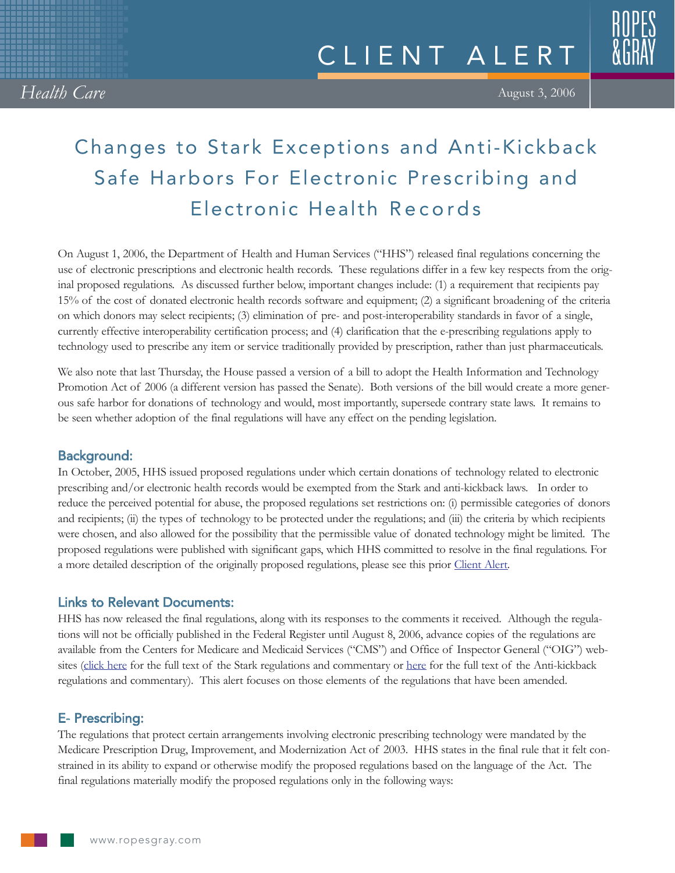333333

## August 3, 2006

# Changes to Stark Exceptions and Anti-Kickback Safe Harbors For Electronic Prescribing and Electronic Health Records

On August 1, 2006, the Department of Health and Human Services ("HHS") released final regulations concerning the use of electronic prescriptions and electronic health records. These regulations differ in a few key respects from the original proposed regulations. As discussed further below, important changes include: (1) a requirement that recipients pay 15% of the cost of donated electronic health records software and equipment; (2) a significant broadening of the criteria on which donors may select recipients; (3) elimination of pre- and post-interoperability standards in favor of a single, currently effective interoperability certification process; and (4) clarification that the e-prescribing regulations apply to technology used to prescribe any item or service traditionally provided by prescription, rather than just pharmaceuticals.

We also note that last Thursday, the House passed a version of a bill to adopt the Health Information and Technology Promotion Act of 2006 (a different version has passed the Senate). Both versions of the bill would create a more generous safe harbor for donations of technology and would, most importantly, supersede contrary state laws. It remains to be seen whether adoption of the final regulations will have any effect on the pending legislation.

# Background:

In October, 2005, HHS issued proposed regulations under which certain donations of technology related to electronic prescribing and/or electronic health records would be exempted from the Stark and anti-kickback laws. In order to reduce the perceived potential for abuse, the proposed regulations set restrictions on: (i) permissible categories of donors and recipients; (ii) the types of technology to be protected under the regulations; and (iii) the criteria by which recipients were chosen, and also allowed for the possibility that the permissible value of donated technology might be limited. The proposed regulations were published with significant gaps, which HHS committed to resolve in the final regulations. For a more detailed description of the originally proposed regulations, please see this prior [Client Alert.](http://www.ropesgray.com/files/tbl_s20News/FileUpload116/948/e-Prescribing%20and%20e-Health%20Record%20-%20October%2017,%202005.pdf)

## Links to Relevant Documents:

HHS has now released the final regulations, along with its responses to the comments it received. Although the regulations will not be officially published in the Federal Register until August 8, 2006, advance copies of the regulations are available from the Centers for Medicare and Medicaid Services ("CMS") and Office of Inspector General ("OIG") websites ([click here](http://www.cms.hhs.gov/PhysicianSelfReferral/Downloads/CMS-1303-F.pdf) for the full text of the Stark regulations and commentary or [here](http://www.oig.hhs.gov/authorities/docs/06/EHR,%208-01-06A.pdf) for the full text of the Anti-kickback regulations and commentary). This alert focuses on those elements of the regulations that have been amended.

# E- Prescribing:

The regulations that protect certain arrangements involving electronic prescribing technology were mandated by the Medicare Prescription Drug, Improvement, and Modernization Act of 2003. HHS states in the final rule that it felt constrained in its ability to expand or otherwise modify the proposed regulations based on the language of the Act. The final regulations materially modify the proposed regulations only in the following ways: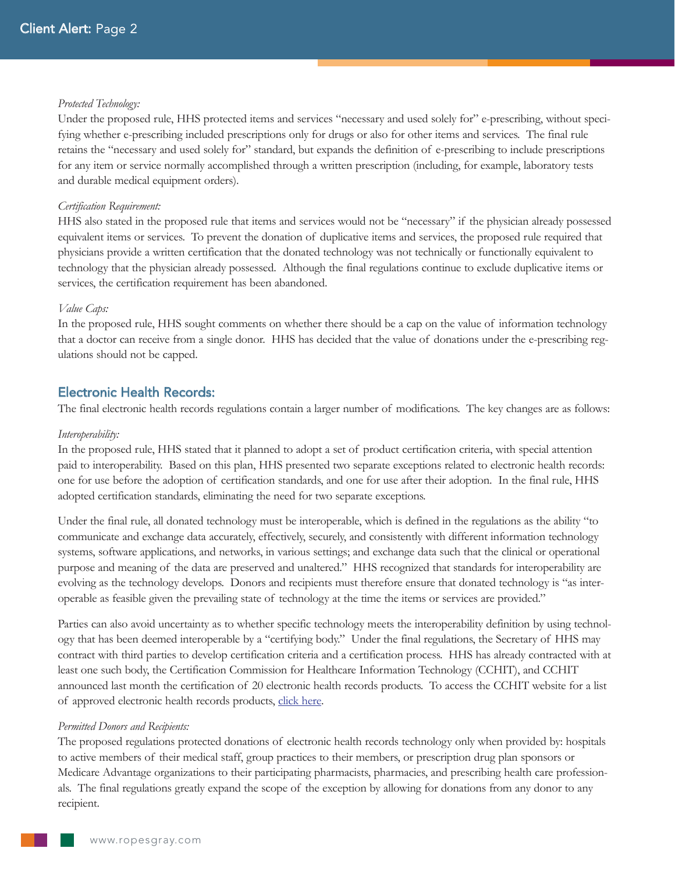## *Protected Technology:*

Under the proposed rule, HHS protected items and services "necessary and used solely for" e-prescribing, without specifying whether e-prescribing included prescriptions only for drugs or also for other items and services. The final rule retains the "necessary and used solely for" standard, but expands the definition of e-prescribing to include prescriptions for any item or service normally accomplished through a written prescription (including, for example, laboratory tests and durable medical equipment orders).

## *Certification Requirement:*

HHS also stated in the proposed rule that items and services would not be "necessary" if the physician already possessed equivalent items or services. To prevent the donation of duplicative items and services, the proposed rule required that physicians provide a written certification that the donated technology was not technically or functionally equivalent to technology that the physician already possessed. Although the final regulations continue to exclude duplicative items or services, the certification requirement has been abandoned.

## *Value Caps:*

In the proposed rule, HHS sought comments on whether there should be a cap on the value of information technology that a doctor can receive from a single donor. HHS has decided that the value of donations under the e-prescribing regulations should not be capped.

## Electronic Health Records:

The final electronic health records regulations contain a larger number of modifications. The key changes are as follows:

#### *Interoperability:*

In the proposed rule, HHS stated that it planned to adopt a set of product certification criteria, with special attention paid to interoperability. Based on this plan, HHS presented two separate exceptions related to electronic health records: one for use before the adoption of certification standards, and one for use after their adoption. In the final rule, HHS adopted certification standards, eliminating the need for two separate exceptions.

Under the final rule, all donated technology must be interoperable, which is defined in the regulations as the ability "to communicate and exchange data accurately, effectively, securely, and consistently with different information technology systems, software applications, and networks, in various settings; and exchange data such that the clinical or operational purpose and meaning of the data are preserved and unaltered." HHS recognized that standards for interoperability are evolving as the technology develops. Donors and recipients must therefore ensure that donated technology is "as interoperable as feasible given the prevailing state of technology at the time the items or services are provided."

Parties can also avoid uncertainty as to whether specific technology meets the interoperability definition by using technology that has been deemed interoperable by a "certifying body." Under the final regulations, the Secretary of HHS may contract with third parties to develop certification criteria and a certification process. HHS has already contracted with at least one such body, the Certification Commission for Healthcare Information Technology (CCHIT), and CCHIT announced last month the certification of 20 electronic health records products. To access the CCHIT website for a list of approved electronic health records products, [click here.](http://www.cchit.org)

#### *Permitted Donors and Recipients:*

The proposed regulations protected donations of electronic health records technology only when provided by: hospitals to active members of their medical staff, group practices to their members, or prescription drug plan sponsors or Medicare Advantage organizations to their participating pharmacists, pharmacies, and prescribing health care professionals. The final regulations greatly expand the scope of the exception by allowing for donations from any donor to any recipient.